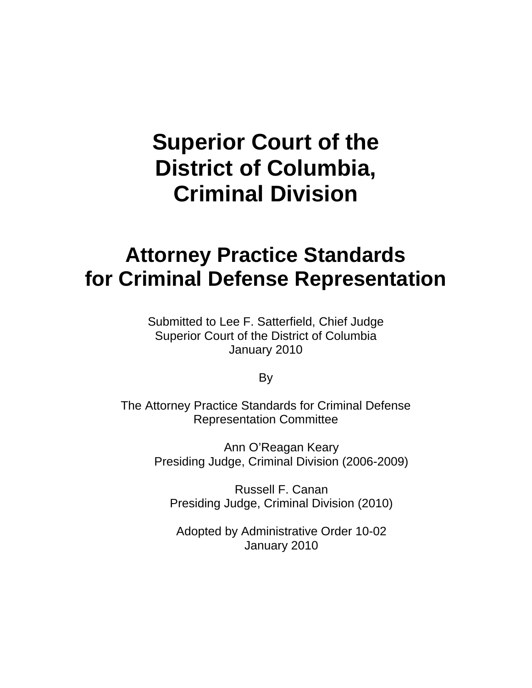# **Superior Court of the District of Columbia, Criminal Division**

## **Attorney Practice Standards for Criminal Defense Representation**

Submitted to Lee F. Satterfield, Chief Judge Superior Court of the District of Columbia January 2010

By

The Attorney Practice Standards for Criminal Defense Representation Committee

> Ann O'Reagan Keary Presiding Judge, Criminal Division (2006-2009)

Russell F. Canan Presiding Judge, Criminal Division (2010)

Adopted by Administrative Order 10-02 January 2010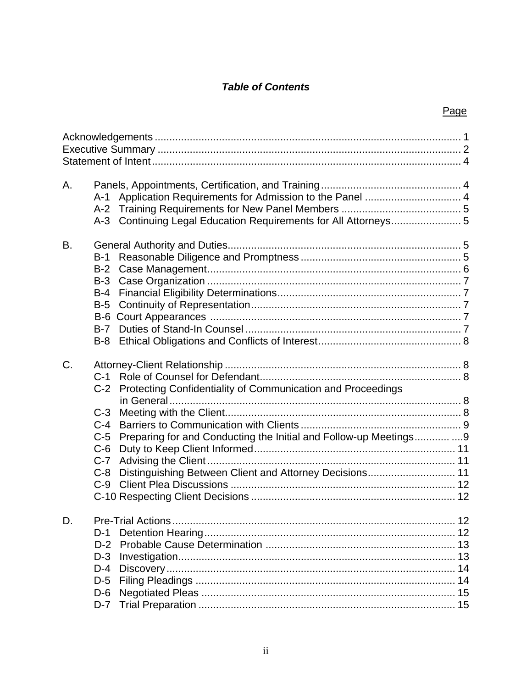## **Table of Contents**

## Page

| Α. | A-1<br>$A-2$<br>Continuing Legal Education Requirements for All Attorneys 5<br>$A-3$                                                                                                                                                                                        |  |
|----|-----------------------------------------------------------------------------------------------------------------------------------------------------------------------------------------------------------------------------------------------------------------------------|--|
| B. | $B-1$<br>$B-2$<br>$B-3$<br>$B-4$<br>$B-5$<br>$B-6$<br>$B-7$<br>$B-8$                                                                                                                                                                                                        |  |
| C. | $C-1$<br>Protecting Confidentiality of Communication and Proceedings<br>$C-2$<br>$C-3$<br>$C-4$<br>Preparing for and Conducting the Initial and Follow-up Meetings9<br>$C-5$<br>$C-6$<br>$C-7$<br>Distinguishing Between Client and Attorney Decisions 11<br>$C-8$<br>$C-9$ |  |
| D. | $D-1$<br>$D-2$<br>$D-3$<br>$D-4$<br>$D-5$<br>$D-6$<br>$D-7$                                                                                                                                                                                                                 |  |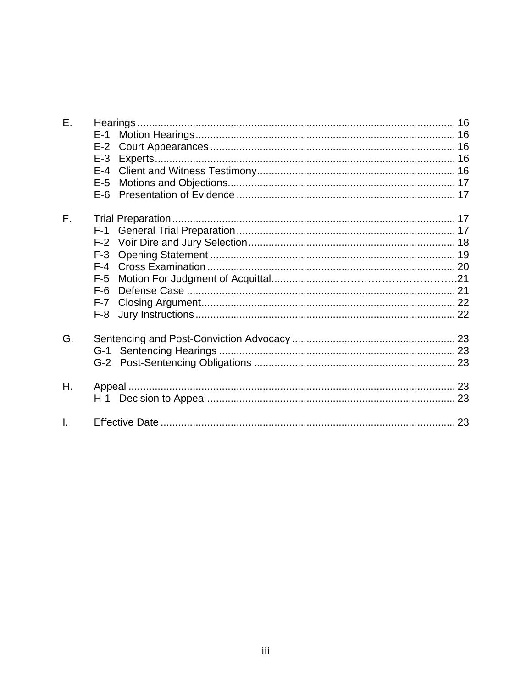| Ε. | $E-1$<br>$E-2$<br>$E-3$<br>$E - 4$<br>$E-5$<br>$E-6$                   |  |
|----|------------------------------------------------------------------------|--|
| F. | $F-1$<br>$F-2$<br>$F-3$<br>$F-4$<br>$F-5$<br>$F-6$<br>$F - 7$<br>$F-8$ |  |
| G. | $G-1$<br>G-2                                                           |  |
| Η. |                                                                        |  |
| Ī. |                                                                        |  |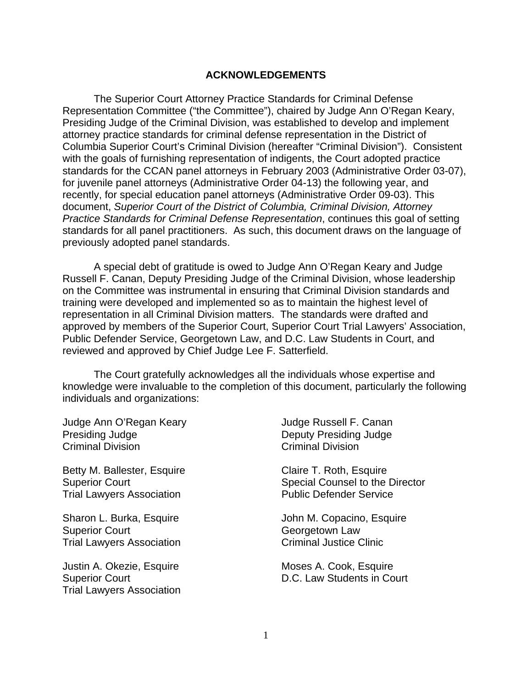#### **ACKNOWLEDGEMENTS**

The Superior Court Attorney Practice Standards for Criminal Defense Representation Committee ("the Committee"), chaired by Judge Ann O'Regan Keary, Presiding Judge of the Criminal Division, was established to develop and implement attorney practice standards for criminal defense representation in the District of Columbia Superior Court's Criminal Division (hereafter "Criminal Division"). Consistent with the goals of furnishing representation of indigents, the Court adopted practice standards for the CCAN panel attorneys in February 2003 (Administrative Order 03-07), for juvenile panel attorneys (Administrative Order 04-13) the following year, and recently, for special education panel attorneys (Administrative Order 09-03). This document, *Superior Court of the District of Columbia, Criminal Division, Attorney Practice Standards for Criminal Defense Representation*, continues this goal of setting standards for all panel practitioners. As such, this document draws on the language of previously adopted panel standards.

A special debt of gratitude is owed to Judge Ann O'Regan Keary and Judge Russell F. Canan, Deputy Presiding Judge of the Criminal Division, whose leadership on the Committee was instrumental in ensuring that Criminal Division standards and training were developed and implemented so as to maintain the highest level of representation in all Criminal Division matters. The standards were drafted and approved by members of the Superior Court, Superior Court Trial Lawyers' Association, Public Defender Service, Georgetown Law, and D.C. Law Students in Court, and reviewed and approved by Chief Judge Lee F. Satterfield.

The Court gratefully acknowledges all the individuals whose expertise and knowledge were invaluable to the completion of this document, particularly the following individuals and organizations:

Judge Ann O'Regan Keary Judge Russell F. Canan Presiding Judge Deputy Presiding Judge Criminal Division Criminal Division

Betty M. Ballester, Esquire Claire T. Roth, Esquire Trial Lawyers Association **Public Defender Service** 

Superior Court Georgetown Law Trial Lawyers Association **Criminal Justice Clinic** 

Justin A. Okezie, Esquire **Moses A. Cook, Esquire** Moses A. Cook, Esquire Trial Lawyers Association

Superior Court Superior Court Special Counsel to the Director

Sharon L. Burka, Esquire **Sharon L. Burka, Esquire** John M. Copacino, Esquire

Superior Court **D.C. Law Students in Court**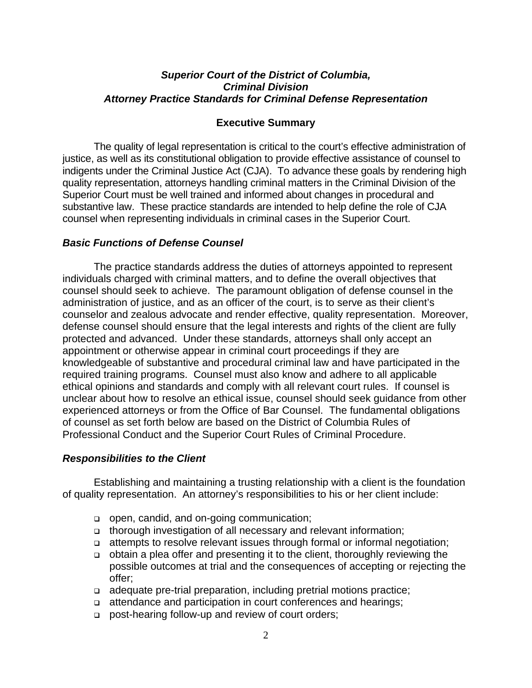#### *Superior Court of the District of Columbia, Criminal Division Attorney Practice Standards for Criminal Defense Representation*

#### **Executive Summary**

The quality of legal representation is critical to the court's effective administration of justice, as well as its constitutional obligation to provide effective assistance of counsel to indigents under the Criminal Justice Act (CJA). To advance these goals by rendering high quality representation, attorneys handling criminal matters in the Criminal Division of the Superior Court must be well trained and informed about changes in procedural and substantive law. These practice standards are intended to help define the role of CJA counsel when representing individuals in criminal cases in the Superior Court.

#### *Basic Functions of Defense Counsel*

The practice standards address the duties of attorneys appointed to represent individuals charged with criminal matters, and to define the overall objectives that counsel should seek to achieve. The paramount obligation of defense counsel in the administration of justice, and as an officer of the court, is to serve as their client's counselor and zealous advocate and render effective, quality representation. Moreover, defense counsel should ensure that the legal interests and rights of the client are fully protected and advanced. Under these standards, attorneys shall only accept an appointment or otherwise appear in criminal court proceedings if they are knowledgeable of substantive and procedural criminal law and have participated in the required training programs. Counsel must also know and adhere to all applicable ethical opinions and standards and comply with all relevant court rules. If counsel is unclear about how to resolve an ethical issue, counsel should seek guidance from other experienced attorneys or from the Office of Bar Counsel. The fundamental obligations of counsel as set forth below are based on the District of Columbia Rules of Professional Conduct and the Superior Court Rules of Criminal Procedure.

### *Responsibilities to the Client*

Establishing and maintaining a trusting relationship with a client is the foundation of quality representation. An attorney's responsibilities to his or her client include:

- open, candid, and on-going communication;
- thorough investigation of all necessary and relevant information;
- attempts to resolve relevant issues through formal or informal negotiation;
- obtain a plea offer and presenting it to the client, thoroughly reviewing the possible outcomes at trial and the consequences of accepting or rejecting the offer;
- adequate pre-trial preparation, including pretrial motions practice;
- attendance and participation in court conferences and hearings;
- □ post-hearing follow-up and review of court orders;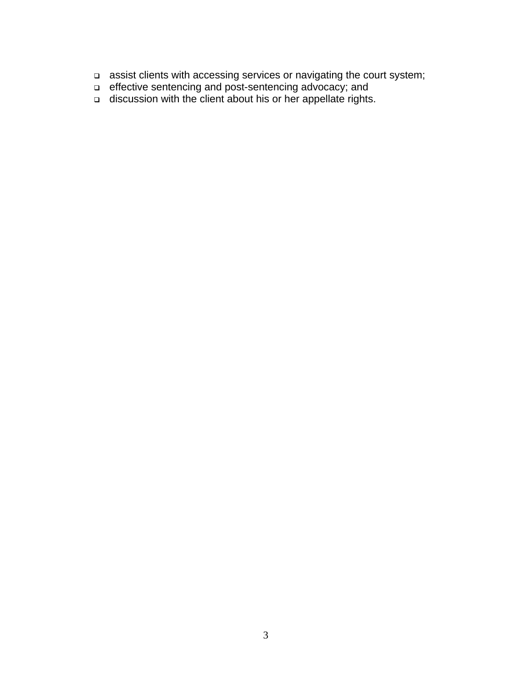- □ assist clients with accessing services or navigating the court system;
- □ effective sentencing and post-sentencing advocacy; and
- □ discussion with the client about his or her appellate rights.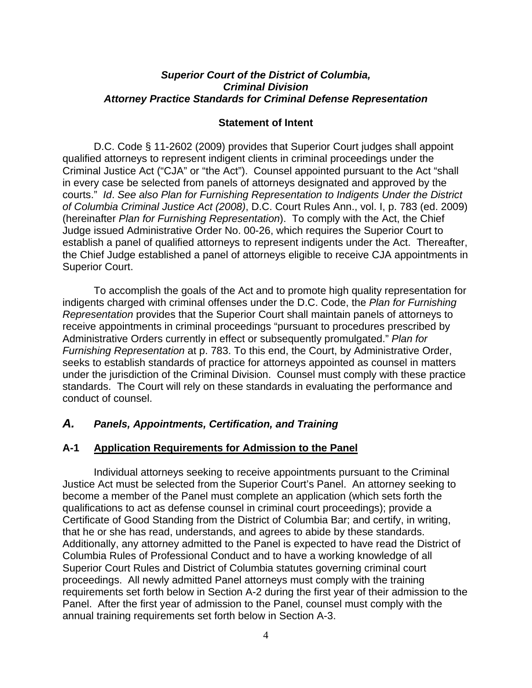#### *Superior Court of the District of Columbia, Criminal Division Attorney Practice Standards for Criminal Defense Representation*

#### **Statement of Intent**

D.C. Code § 11-2602 (2009) provides that Superior Court judges shall appoint qualified attorneys to represent indigent clients in criminal proceedings under the Criminal Justice Act ("CJA" or "the Act"). Counsel appointed pursuant to the Act "shall in every case be selected from panels of attorneys designated and approved by the courts." *Id*. *See also Plan for Furnishing Representation to Indigents Under the District of Columbia Criminal Justice Act (2008)*, D.C. Court Rules Ann., vol. I, p. 783 (ed. 2009) (hereinafter *Plan for Furnishing Representation*). To comply with the Act, the Chief Judge issued Administrative Order No. 00-26, which requires the Superior Court to establish a panel of qualified attorneys to represent indigents under the Act. Thereafter, the Chief Judge established a panel of attorneys eligible to receive CJA appointments in Superior Court.

To accomplish the goals of the Act and to promote high quality representation for indigents charged with criminal offenses under the D.C. Code, the *Plan for Furnishing Representation* provides that the Superior Court shall maintain panels of attorneys to receive appointments in criminal proceedings "pursuant to procedures prescribed by Administrative Orders currently in effect or subsequently promulgated." *Plan for Furnishing Representation* at p. 783. To this end, the Court, by Administrative Order, seeks to establish standards of practice for attorneys appointed as counsel in matters under the jurisdiction of the Criminal Division. Counsel must comply with these practice standards. The Court will rely on these standards in evaluating the performance and conduct of counsel.

#### *A. Panels, Appointments, Certification, and Training*

#### **A-1 Application Requirements for Admission to the Panel**

Individual attorneys seeking to receive appointments pursuant to the Criminal Justice Act must be selected from the Superior Court's Panel. An attorney seeking to become a member of the Panel must complete an application (which sets forth the qualifications to act as defense counsel in criminal court proceedings); provide a Certificate of Good Standing from the District of Columbia Bar; and certify, in writing, that he or she has read, understands, and agrees to abide by these standards. Additionally, any attorney admitted to the Panel is expected to have read the District of Columbia Rules of Professional Conduct and to have a working knowledge of all Superior Court Rules and District of Columbia statutes governing criminal court proceedings. All newly admitted Panel attorneys must comply with the training requirements set forth below in Section A-2 during the first year of their admission to the Panel. After the first year of admission to the Panel, counsel must comply with the annual training requirements set forth below in Section A-3.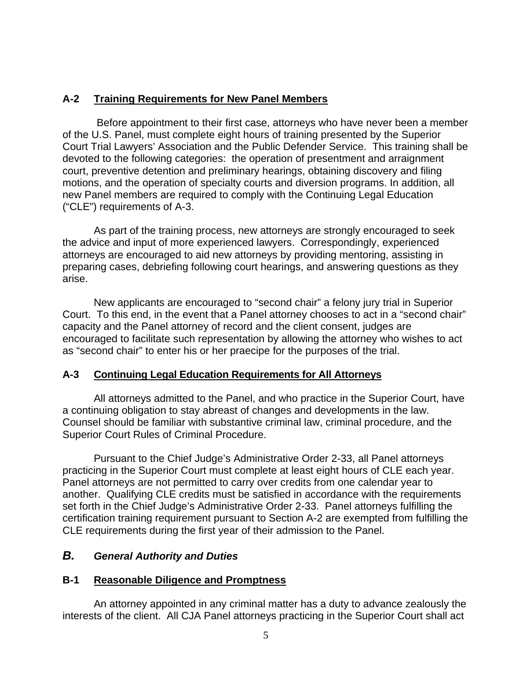## **A-2 Training Requirements for New Panel Members**

 Before appointment to their first case, attorneys who have never been a member of the U.S. Panel, must complete eight hours of training presented by the Superior Court Trial Lawyers' Association and the Public Defender Service. This training shall be devoted to the following categories: the operation of presentment and arraignment court, preventive detention and preliminary hearings, obtaining discovery and filing motions, and the operation of specialty courts and diversion programs. In addition, all new Panel members are required to comply with the Continuing Legal Education ("CLE") requirements of A-3.

As part of the training process, new attorneys are strongly encouraged to seek the advice and input of more experienced lawyers. Correspondingly, experienced attorneys are encouraged to aid new attorneys by providing mentoring, assisting in preparing cases, debriefing following court hearings, and answering questions as they arise.

New applicants are encouraged to "second chair" a felony jury trial in Superior Court. To this end, in the event that a Panel attorney chooses to act in a "second chair" capacity and the Panel attorney of record and the client consent, judges are encouraged to facilitate such representation by allowing the attorney who wishes to act as "second chair" to enter his or her praecipe for the purposes of the trial.

## **A-3 Continuing Legal Education Requirements for All Attorneys**

 All attorneys admitted to the Panel, and who practice in the Superior Court, have a continuing obligation to stay abreast of changes and developments in the law. Counsel should be familiar with substantive criminal law, criminal procedure, and the Superior Court Rules of Criminal Procedure.

 Pursuant to the Chief Judge's Administrative Order 2-33, all Panel attorneys practicing in the Superior Court must complete at least eight hours of CLE each year. Panel attorneys are not permitted to carry over credits from one calendar year to another. Qualifying CLE credits must be satisfied in accordance with the requirements set forth in the Chief Judge's Administrative Order 2-33. Panel attorneys fulfilling the certification training requirement pursuant to Section A-2 are exempted from fulfilling the CLE requirements during the first year of their admission to the Panel.

## *B. General Authority and Duties*

## **B-1 Reasonable Diligence and Promptness**

An attorney appointed in any criminal matter has a duty to advance zealously the interests of the client. All CJA Panel attorneys practicing in the Superior Court shall act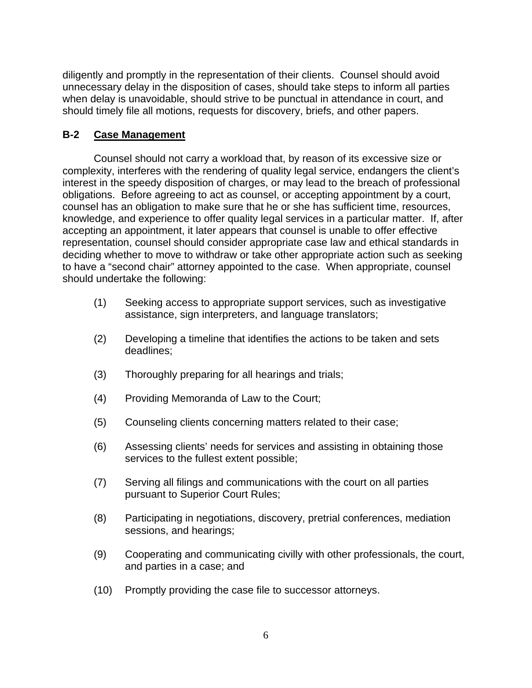diligently and promptly in the representation of their clients. Counsel should avoid unnecessary delay in the disposition of cases, should take steps to inform all parties when delay is unavoidable, should strive to be punctual in attendance in court, and should timely file all motions, requests for discovery, briefs, and other papers.

## **B-2 Case Management**

Counsel should not carry a workload that, by reason of its excessive size or complexity, interferes with the rendering of quality legal service, endangers the client's interest in the speedy disposition of charges, or may lead to the breach of professional obligations. Before agreeing to act as counsel, or accepting appointment by a court, counsel has an obligation to make sure that he or she has sufficient time, resources, knowledge, and experience to offer quality legal services in a particular matter. If, after accepting an appointment, it later appears that counsel is unable to offer effective representation, counsel should consider appropriate case law and ethical standards in deciding whether to move to withdraw or take other appropriate action such as seeking to have a "second chair" attorney appointed to the case. When appropriate, counsel should undertake the following:

- (1) Seeking access to appropriate support services, such as investigative assistance, sign interpreters, and language translators;
- (2) Developing a timeline that identifies the actions to be taken and sets deadlines;
- (3) Thoroughly preparing for all hearings and trials;
- (4) Providing Memoranda of Law to the Court;
- (5) Counseling clients concerning matters related to their case;
- (6) Assessing clients' needs for services and assisting in obtaining those services to the fullest extent possible;
- (7) Serving all filings and communications with the court on all parties pursuant to Superior Court Rules;
- (8) Participating in negotiations, discovery, pretrial conferences, mediation sessions, and hearings;
- (9) Cooperating and communicating civilly with other professionals, the court, and parties in a case; and
- (10) Promptly providing the case file to successor attorneys.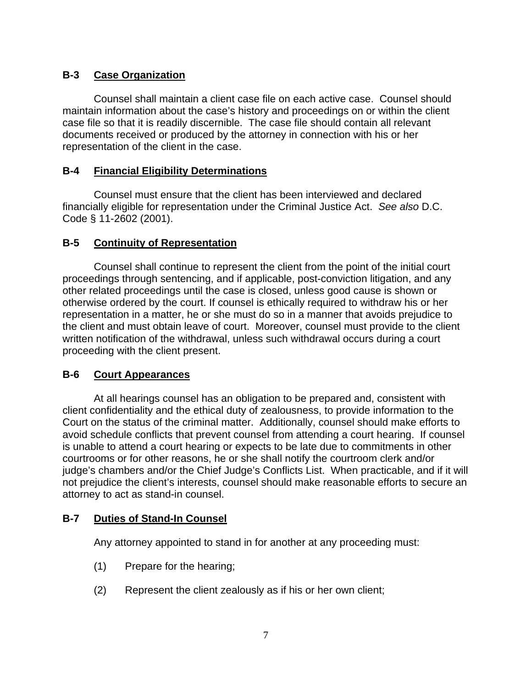## **B-3 Case Organization**

Counsel shall maintain a client case file on each active case. Counsel should maintain information about the case's history and proceedings on or within the client case file so that it is readily discernible. The case file should contain all relevant documents received or produced by the attorney in connection with his or her representation of the client in the case.

## **B-4 Financial Eligibility Determinations**

Counsel must ensure that the client has been interviewed and declared financially eligible for representation under the Criminal Justice Act. *See also* D.C. Code § 11-2602 (2001).

## **B-5 Continuity of Representation**

Counsel shall continue to represent the client from the point of the initial court proceedings through sentencing, and if applicable, post-conviction litigation, and any other related proceedings until the case is closed, unless good cause is shown or otherwise ordered by the court. If counsel is ethically required to withdraw his or her representation in a matter, he or she must do so in a manner that avoids prejudice to the client and must obtain leave of court. Moreover, counsel must provide to the client written notification of the withdrawal, unless such withdrawal occurs during a court proceeding with the client present.

## **B-6 Court Appearances**

At all hearings counsel has an obligation to be prepared and, consistent with client confidentiality and the ethical duty of zealousness, to provide information to the Court on the status of the criminal matter. Additionally, counsel should make efforts to avoid schedule conflicts that prevent counsel from attending a court hearing. If counsel is unable to attend a court hearing or expects to be late due to commitments in other courtrooms or for other reasons, he or she shall notify the courtroom clerk and/or judge's chambers and/or the Chief Judge's Conflicts List. When practicable, and if it will not prejudice the client's interests, counsel should make reasonable efforts to secure an attorney to act as stand-in counsel.

## **B-7 Duties of Stand-In Counsel**

Any attorney appointed to stand in for another at any proceeding must:

- (1) Prepare for the hearing;
- (2) Represent the client zealously as if his or her own client;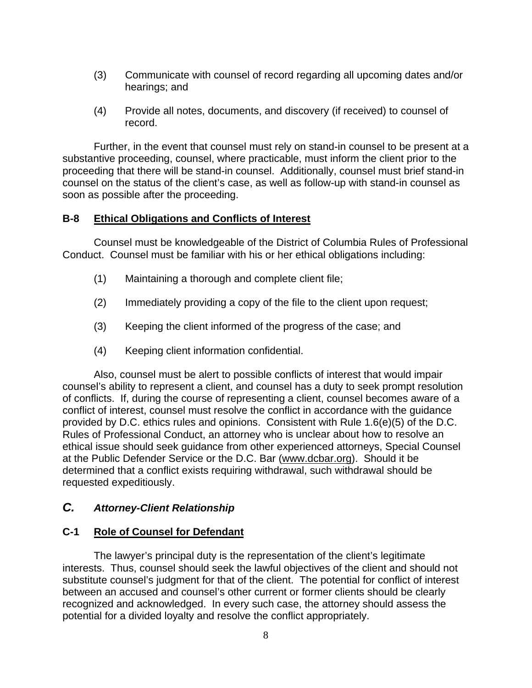- (3) Communicate with counsel of record regarding all upcoming dates and/or hearings; and
- (4) Provide all notes, documents, and discovery (if received) to counsel of record.

Further, in the event that counsel must rely on stand-in counsel to be present at a substantive proceeding, counsel, where practicable, must inform the client prior to the proceeding that there will be stand-in counsel. Additionally, counsel must brief stand-in counsel on the status of the client's case, as well as follow-up with stand-in counsel as soon as possible after the proceeding.

## **B-8 Ethical Obligations and Conflicts of Interest**

Counsel must be knowledgeable of the District of Columbia Rules of Professional Conduct. Counsel must be familiar with his or her ethical obligations including:

- (1) Maintaining a thorough and complete client file;
- (2) Immediately providing a copy of the file to the client upon request;
- (3) Keeping the client informed of the progress of the case; and
- (4) Keeping client information confidential.

Also, counsel must be alert to possible conflicts of interest that would impair counsel's ability to represent a client, and counsel has a duty to seek prompt resolution of conflicts. If, during the course of representing a client, counsel becomes aware of a conflict of interest, counsel must resolve the conflict in accordance with the guidance provided by D.C. ethics rules and opinions. Consistent with Rule 1.6(e)(5) of the D.C. Rules of Professional Conduct, an attorney who is unclear about how to resolve an ethical issue should seek guidance from other experienced attorneys, Special Counsel at the Public Defender Service or the D.C. Bar ([www.dcbar.org\)](http://www.dcbar.org/). Should it be determined that a conflict exists requiring withdrawal, such withdrawal should be requested expeditiously.

## *C. Attorney-Client Relationship*

## **C-1 Role of Counsel for Defendant**

The lawyer's principal duty is the representation of the client's legitimate interests. Thus, counsel should seek the lawful objectives of the client and should not substitute counsel's judgment for that of the client. The potential for conflict of interest between an accused and counsel's other current or former clients should be clearly recognized and acknowledged. In every such case, the attorney should assess the potential for a divided loyalty and resolve the conflict appropriately.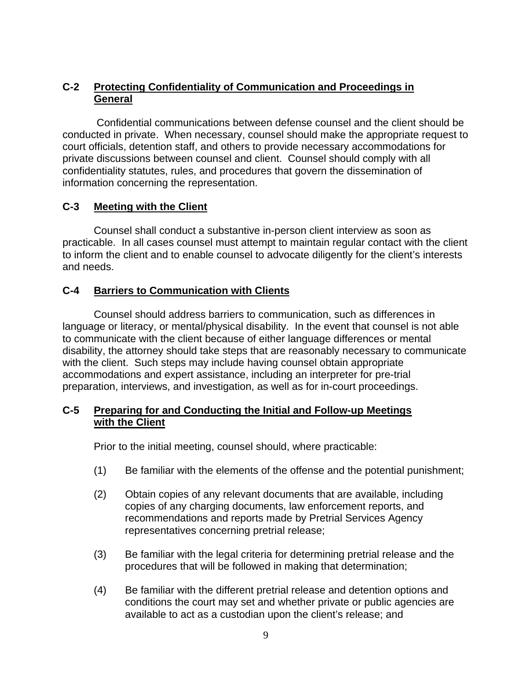## **C-2 Protecting Confidentiality of Communication and Proceedings in General**

 Confidential communications between defense counsel and the client should be conducted in private. When necessary, counsel should make the appropriate request to court officials, detention staff, and others to provide necessary accommodations for private discussions between counsel and client. Counsel should comply with all confidentiality statutes, rules, and procedures that govern the dissemination of information concerning the representation.

## **C-3 Meeting with the Client**

Counsel shall conduct a substantive in-person client interview as soon as practicable. In all cases counsel must attempt to maintain regular contact with the client to inform the client and to enable counsel to advocate diligently for the client's interests and needs.

## **C-4 Barriers to Communication with Clients**

Counsel should address barriers to communication, such as differences in language or literacy, or mental/physical disability. In the event that counsel is not able to communicate with the client because of either language differences or mental disability, the attorney should take steps that are reasonably necessary to communicate with the client. Such steps may include having counsel obtain appropriate accommodations and expert assistance, including an interpreter for pre-trial preparation, interviews, and investigation, as well as for in-court proceedings.

### **C-5 Preparing for and Conducting the Initial and Follow-up Meetings with the Client**

Prior to the initial meeting, counsel should, where practicable:

- (1) Be familiar with the elements of the offense and the potential punishment;
- (2) Obtain copies of any relevant documents that are available, including copies of any charging documents, law enforcement reports, and recommendations and reports made by Pretrial Services Agency representatives concerning pretrial release;
- (3) Be familiar with the legal criteria for determining pretrial release and the procedures that will be followed in making that determination;
- (4) Be familiar with the different pretrial release and detention options and conditions the court may set and whether private or public agencies are available to act as a custodian upon the client's release; and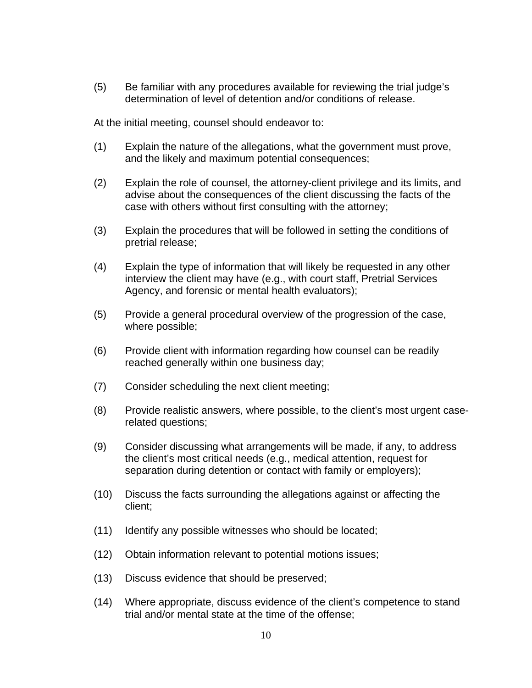(5) Be familiar with any procedures available for reviewing the trial judge's determination of level of detention and/or conditions of release.

At the initial meeting, counsel should endeavor to:

- (1) Explain the nature of the allegations, what the government must prove, and the likely and maximum potential consequences;
- (2) Explain the role of counsel, the attorney-client privilege and its limits, and advise about the consequences of the client discussing the facts of the case with others without first consulting with the attorney;
- (3) Explain the procedures that will be followed in setting the conditions of pretrial release;
- (4) Explain the type of information that will likely be requested in any other interview the client may have (e.g., with court staff, Pretrial Services Agency, and forensic or mental health evaluators);
- (5) Provide a general procedural overview of the progression of the case, where possible;
- (6) Provide client with information regarding how counsel can be readily reached generally within one business day;
- (7) Consider scheduling the next client meeting;
- (8) Provide realistic answers, where possible, to the client's most urgent caserelated questions;
- (9) Consider discussing what arrangements will be made, if any, to address the client's most critical needs (e.g., medical attention, request for separation during detention or contact with family or employers);
- (10) Discuss the facts surrounding the allegations against or affecting the client;
- (11) Identify any possible witnesses who should be located;
- (12) Obtain information relevant to potential motions issues;
- (13) Discuss evidence that should be preserved;
- (14) Where appropriate, discuss evidence of the client's competence to stand trial and/or mental state at the time of the offense;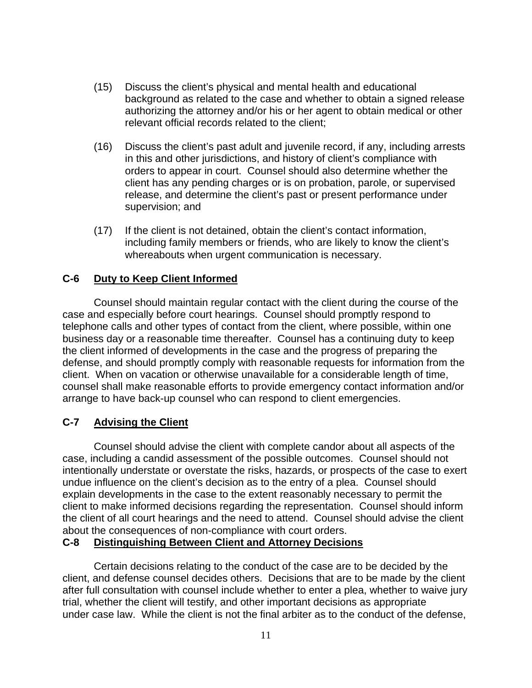- (15) Discuss the client's physical and mental health and educational background as related to the case and whether to obtain a signed release authorizing the attorney and/or his or her agent to obtain medical or other relevant official records related to the client;
- (16) Discuss the client's past adult and juvenile record, if any, including arrests in this and other jurisdictions, and history of client's compliance with orders to appear in court. Counsel should also determine whether the client has any pending charges or is on probation, parole, or supervised release, and determine the client's past or present performance under supervision; and
- (17) If the client is not detained, obtain the client's contact information, including family members or friends, who are likely to know the client's whereabouts when urgent communication is necessary.

#### **C-6 Duty to Keep Client Informed**

Counsel should maintain regular contact with the client during the course of the case and especially before court hearings. Counsel should promptly respond to telephone calls and other types of contact from the client, where possible, within one business day or a reasonable time thereafter. Counsel has a continuing duty to keep the client informed of developments in the case and the progress of preparing the defense, and should promptly comply with reasonable requests for information from the client. When on vacation or otherwise unavailable for a considerable length of time, counsel shall make reasonable efforts to provide emergency contact information and/or arrange to have back-up counsel who can respond to client emergencies.

#### **C-7 Advising the Client**

Counsel should advise the client with complete candor about all aspects of the case, including a candid assessment of the possible outcomes. Counsel should not intentionally understate or overstate the risks, hazards, or prospects of the case to exert undue influence on the client's decision as to the entry of a plea. Counsel should explain developments in the case to the extent reasonably necessary to permit the client to make informed decisions regarding the representation. Counsel should inform the client of all court hearings and the need to attend. Counsel should advise the client about the consequences of non-compliance with court orders.

#### **C-8 Distinguishing Between Client and Attorney Decisions**

Certain decisions relating to the conduct of the case are to be decided by the client, and defense counsel decides others. Decisions that are to be made by the client after full consultation with counsel include whether to enter a plea, whether to waive jury trial, whether the client will testify, and other important decisions as appropriate under case law. While the client is not the final arbiter as to the conduct of the defense,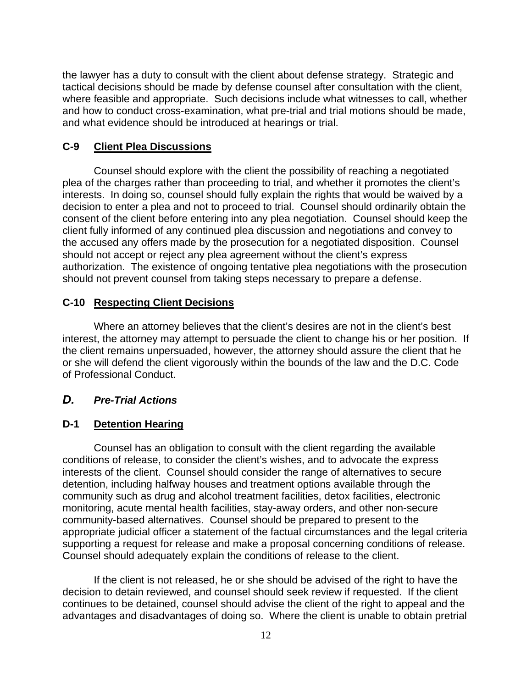the lawyer has a duty to consult with the client about defense strategy. Strategic and tactical decisions should be made by defense counsel after consultation with the client, where feasible and appropriate. Such decisions include what witnesses to call, whether and how to conduct cross-examination, what pre-trial and trial motions should be made, and what evidence should be introduced at hearings or trial.

#### **C-9 Client Plea Discussions**

Counsel should explore with the client the possibility of reaching a negotiated plea of the charges rather than proceeding to trial, and whether it promotes the client's interests. In doing so, counsel should fully explain the rights that would be waived by a decision to enter a plea and not to proceed to trial. Counsel should ordinarily obtain the consent of the client before entering into any plea negotiation. Counsel should keep the client fully informed of any continued plea discussion and negotiations and convey to the accused any offers made by the prosecution for a negotiated disposition. Counsel should not accept or reject any plea agreement without the client's express authorization. The existence of ongoing tentative plea negotiations with the prosecution should not prevent counsel from taking steps necessary to prepare a defense.

#### **C-10 Respecting Client Decisions**

Where an attorney believes that the client's desires are not in the client's best interest, the attorney may attempt to persuade the client to change his or her position. If the client remains unpersuaded, however, the attorney should assure the client that he or she will defend the client vigorously within the bounds of the law and the D.C. Code of Professional Conduct.

### *D. Pre-Trial Actions*

#### **D-1 Detention Hearing**

Counsel has an obligation to consult with the client regarding the available conditions of release, to consider the client's wishes, and to advocate the express interests of the client. Counsel should consider the range of alternatives to secure detention, including halfway houses and treatment options available through the community such as drug and alcohol treatment facilities, detox facilities, electronic monitoring, acute mental health facilities, stay-away orders, and other non-secure community-based alternatives. Counsel should be prepared to present to the appropriate judicial officer a statement of the factual circumstances and the legal criteria supporting a request for release and make a proposal concerning conditions of release. Counsel should adequately explain the conditions of release to the client.

If the client is not released, he or she should be advised of the right to have the decision to detain reviewed, and counsel should seek review if requested. If the client continues to be detained, counsel should advise the client of the right to appeal and the advantages and disadvantages of doing so. Where the client is unable to obtain pretrial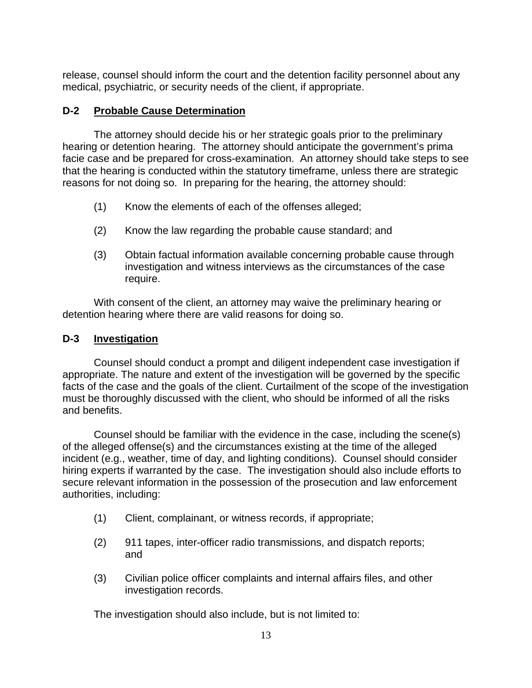release, counsel should inform the court and the detention facility personnel about any medical, psychiatric, or security needs of the client, if appropriate.

## **D-2 Probable Cause Determination**

The attorney should decide his or her strategic goals prior to the preliminary hearing or detention hearing. The attorney should anticipate the government's prima facie case and be prepared for cross-examination. An attorney should take steps to see that the hearing is conducted within the statutory timeframe, unless there are strategic reasons for not doing so. In preparing for the hearing, the attorney should:

- (1) Know the elements of each of the offenses alleged;
- (2) Know the law regarding the probable cause standard; and
- (3) Obtain factual information available concerning probable cause through investigation and witness interviews as the circumstances of the case require.

 With consent of the client, an attorney may waive the preliminary hearing or detention hearing where there are valid reasons for doing so.

## **D-3 Investigation**

Counsel should conduct a prompt and diligent independent case investigation if appropriate. The nature and extent of the investigation will be governed by the specific facts of the case and the goals of the client. Curtailment of the scope of the investigation must be thoroughly discussed with the client, who should be informed of all the risks and benefits.

 Counsel should be familiar with the evidence in the case, including the scene(s) of the alleged offense(s) and the circumstances existing at the time of the alleged incident (e.g., weather, time of day, and lighting conditions). Counsel should consider hiring experts if warranted by the case. The investigation should also include efforts to secure relevant information in the possession of the prosecution and law enforcement authorities, including:

- (1) Client, complainant, or witness records, if appropriate;
- (2) 911 tapes, inter-officer radio transmissions, and dispatch reports; and
- (3) Civilian police officer complaints and internal affairs files, and other investigation records.

The investigation should also include, but is not limited to: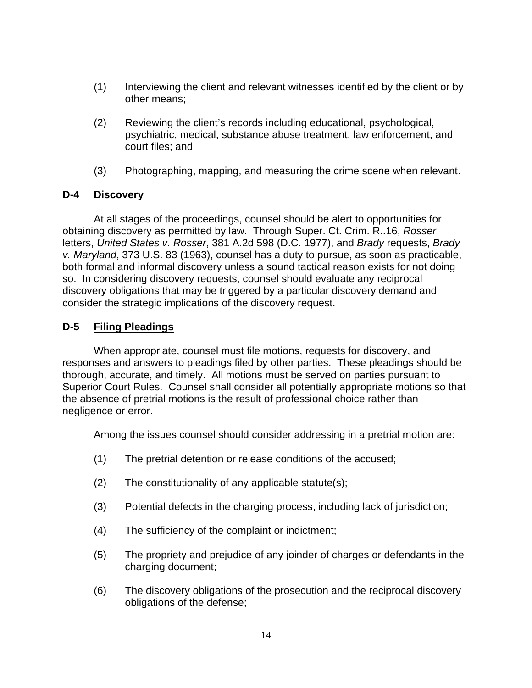- (1) Interviewing the client and relevant witnesses identified by the client or by other means;
- (2) Reviewing the client's records including educational, psychological, psychiatric, medical, substance abuse treatment, law enforcement, and court files; and
- (3) Photographing, mapping, and measuring the crime scene when relevant.

#### **D-4 Discovery**

 At all stages of the proceedings, counsel should be alert to opportunities for obtaining discovery as permitted by law. Through Super. Ct. Crim. R..16, *Rosser* letters, *United States v. Rosser*, 381 A.2d 598 (D.C. 1977), and *Brady* requests, *Brady v. Maryland*, 373 U.S. 83 (1963), counsel has a duty to pursue, as soon as practicable, both formal and informal discovery unless a sound tactical reason exists for not doing so. In considering discovery requests, counsel should evaluate any reciprocal discovery obligations that may be triggered by a particular discovery demand and consider the strategic implications of the discovery request.

### **D-5 Filing Pleadings**

When appropriate, counsel must file motions, requests for discovery, and responses and answers to pleadings filed by other parties. These pleadings should be thorough, accurate, and timely. All motions must be served on parties pursuant to Superior Court Rules. Counsel shall consider all potentially appropriate motions so that the absence of pretrial motions is the result of professional choice rather than negligence or error.

Among the issues counsel should consider addressing in a pretrial motion are:

- (1) The pretrial detention or release conditions of the accused;
- (2) The constitutionality of any applicable statute(s);
- (3) Potential defects in the charging process, including lack of jurisdiction;
- (4) The sufficiency of the complaint or indictment;
- (5) The propriety and prejudice of any joinder of charges or defendants in the charging document;
- (6) The discovery obligations of the prosecution and the reciprocal discovery obligations of the defense;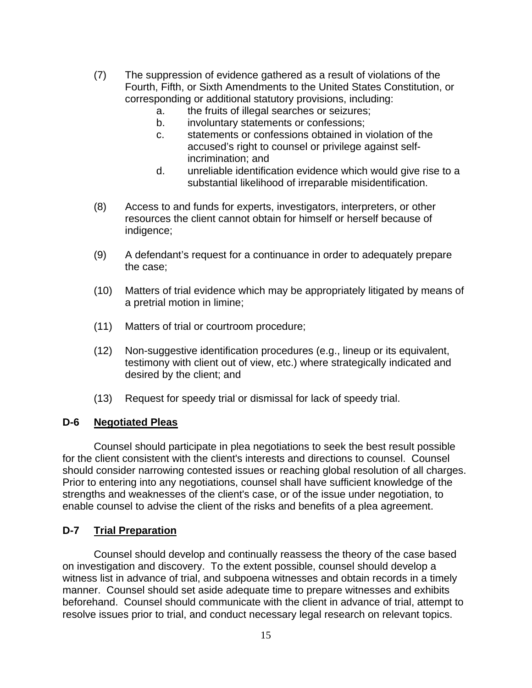- (7) The suppression of evidence gathered as a result of violations of the Fourth, Fifth, or Sixth Amendments to the United States Constitution, or corresponding or additional statutory provisions, including:
	- a. the fruits of illegal searches or seizures;
	- b. involuntary statements or confessions;
	- c. statements or confessions obtained in violation of the accused's right to counsel or privilege against selfincrimination; and
	- d. unreliable identification evidence which would give rise to a substantial likelihood of irreparable misidentification.
- (8) Access to and funds for experts, investigators, interpreters, or other resources the client cannot obtain for himself or herself because of indigence;
- (9) A defendant's request for a continuance in order to adequately prepare the case;
- (10) Matters of trial evidence which may be appropriately litigated by means of a pretrial motion in limine;
- (11) Matters of trial or courtroom procedure;
- (12) Non-suggestive identification procedures (e.g., lineup or its equivalent, testimony with client out of view, etc.) where strategically indicated and desired by the client; and
- (13) Request for speedy trial or dismissal for lack of speedy trial.

### **D-6 Negotiated Pleas**

 Counsel should participate in plea negotiations to seek the best result possible for the client consistent with the client's interests and directions to counsel. Counsel should consider narrowing contested issues or reaching global resolution of all charges. Prior to entering into any negotiations, counsel shall have sufficient knowledge of the strengths and weaknesses of the client's case, or of the issue under negotiation, to enable counsel to advise the client of the risks and benefits of a plea agreement.

### **D-7 Trial Preparation**

Counsel should develop and continually reassess the theory of the case based on investigation and discovery. To the extent possible, counsel should develop a witness list in advance of trial, and subpoena witnesses and obtain records in a timely manner. Counsel should set aside adequate time to prepare witnesses and exhibits beforehand. Counsel should communicate with the client in advance of trial, attempt to resolve issues prior to trial, and conduct necessary legal research on relevant topics.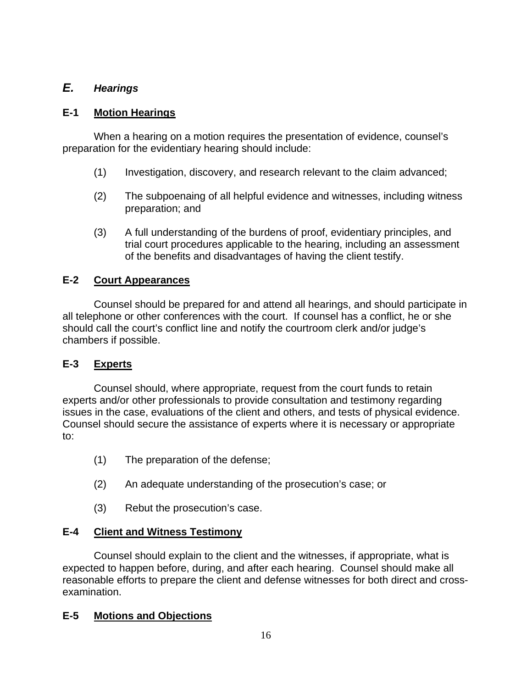## *E. Hearings*

## **E-1 Motion Hearings**

When a hearing on a motion requires the presentation of evidence, counsel's preparation for the evidentiary hearing should include:

- (1) Investigation, discovery, and research relevant to the claim advanced;
- (2) The subpoenaing of all helpful evidence and witnesses, including witness preparation; and
- (3) A full understanding of the burdens of proof, evidentiary principles, and trial court procedures applicable to the hearing, including an assessment of the benefits and disadvantages of having the client testify.

## **E-2 Court Appearances**

Counsel should be prepared for and attend all hearings, and should participate in all telephone or other conferences with the court. If counsel has a conflict, he or she should call the court's conflict line and notify the courtroom clerk and/or judge's chambers if possible.

## **E-3 Experts**

Counsel should, where appropriate, request from the court funds to retain experts and/or other professionals to provide consultation and testimony regarding issues in the case, evaluations of the client and others, and tests of physical evidence. Counsel should secure the assistance of experts where it is necessary or appropriate to:

- (1) The preparation of the defense;
- (2) An adequate understanding of the prosecution's case; or
- (3) Rebut the prosecution's case.

## **E-4 Client and Witness Testimony**

Counsel should explain to the client and the witnesses, if appropriate, what is expected to happen before, during, and after each hearing. Counsel should make all reasonable efforts to prepare the client and defense witnesses for both direct and crossexamination.

## **E-5 Motions and Objections**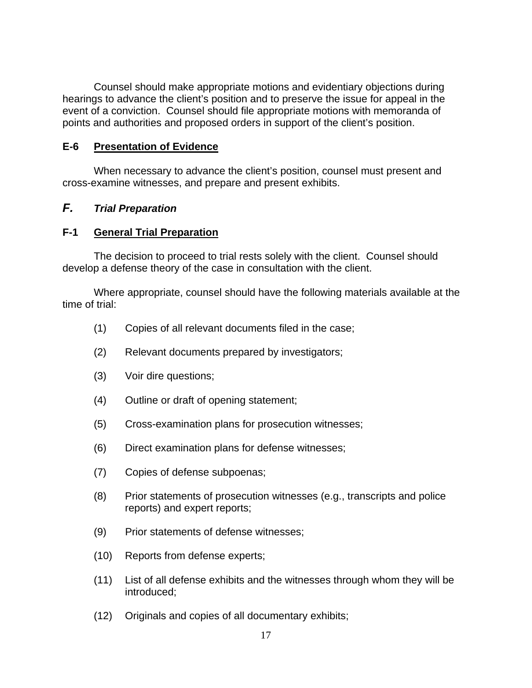Counsel should make appropriate motions and evidentiary objections during hearings to advance the client's position and to preserve the issue for appeal in the event of a conviction. Counsel should file appropriate motions with memoranda of points and authorities and proposed orders in support of the client's position.

#### **E-6 Presentation of Evidence**

When necessary to advance the client's position, counsel must present and cross-examine witnesses, and prepare and present exhibits.

## *F. Trial Preparation*

### **F-1 General Trial Preparation**

The decision to proceed to trial rests solely with the client. Counsel should develop a defense theory of the case in consultation with the client.

Where appropriate, counsel should have the following materials available at the time of trial:

- (1) Copies of all relevant documents filed in the case;
- (2) Relevant documents prepared by investigators;
- (3) Voir dire questions;
- (4) Outline or draft of opening statement;
- (5) Cross-examination plans for prosecution witnesses;
- (6) Direct examination plans for defense witnesses;
- (7) Copies of defense subpoenas;
- (8) Prior statements of prosecution witnesses (e.g., transcripts and police reports) and expert reports;
- (9) Prior statements of defense witnesses;
- (10) Reports from defense experts;
- (11) List of all defense exhibits and the witnesses through whom they will be introduced;
- (12) Originals and copies of all documentary exhibits;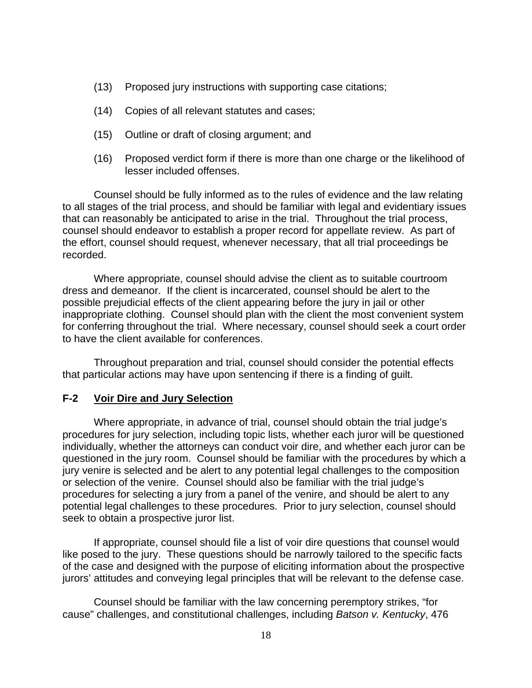- (13) Proposed jury instructions with supporting case citations;
- (14) Copies of all relevant statutes and cases;
- (15) Outline or draft of closing argument; and
- (16) Proposed verdict form if there is more than one charge or the likelihood of lesser included offenses.

Counsel should be fully informed as to the rules of evidence and the law relating to all stages of the trial process, and should be familiar with legal and evidentiary issues that can reasonably be anticipated to arise in the trial. Throughout the trial process, counsel should endeavor to establish a proper record for appellate review. As part of the effort, counsel should request, whenever necessary, that all trial proceedings be recorded.

Where appropriate, counsel should advise the client as to suitable courtroom dress and demeanor. If the client is incarcerated, counsel should be alert to the possible prejudicial effects of the client appearing before the jury in jail or other inappropriate clothing. Counsel should plan with the client the most convenient system for conferring throughout the trial. Where necessary, counsel should seek a court order to have the client available for conferences.

Throughout preparation and trial, counsel should consider the potential effects that particular actions may have upon sentencing if there is a finding of guilt.

#### **F-2 Voir Dire and Jury Selection**

Where appropriate, in advance of trial, counsel should obtain the trial judge's procedures for jury selection, including topic lists, whether each juror will be questioned individually, whether the attorneys can conduct voir dire, and whether each juror can be questioned in the jury room. Counsel should be familiar with the procedures by which a jury venire is selected and be alert to any potential legal challenges to the composition or selection of the venire. Counsel should also be familiar with the trial judge's procedures for selecting a jury from a panel of the venire, and should be alert to any potential legal challenges to these procedures. Prior to jury selection, counsel should seek to obtain a prospective juror list.

If appropriate, counsel should file a list of voir dire questions that counsel would like posed to the jury. These questions should be narrowly tailored to the specific facts of the case and designed with the purpose of eliciting information about the prospective jurors' attitudes and conveying legal principles that will be relevant to the defense case.

Counsel should be familiar with the law concerning peremptory strikes, "for cause" challenges, and constitutional challenges, including *Batson v. Kentucky*, 476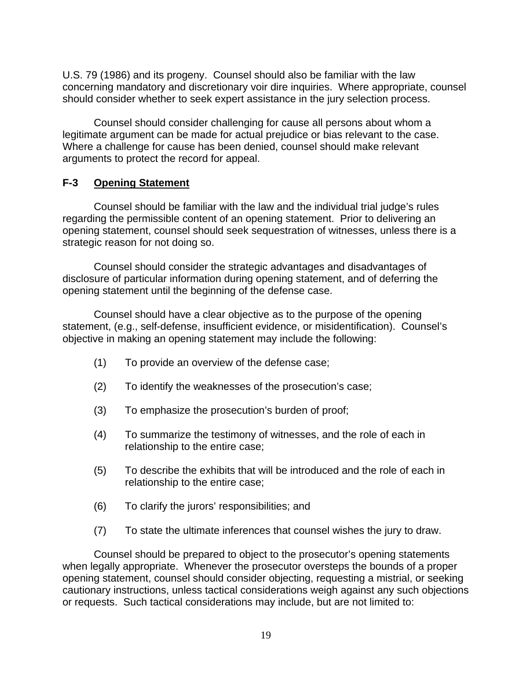U.S. 79 (1986) and its progeny. Counsel should also be familiar with the law concerning mandatory and discretionary voir dire inquiries. Where appropriate, counsel should consider whether to seek expert assistance in the jury selection process.

Counsel should consider challenging for cause all persons about whom a legitimate argument can be made for actual prejudice or bias relevant to the case. Where a challenge for cause has been denied, counsel should make relevant arguments to protect the record for appeal.

## **F-3 Opening Statement**

Counsel should be familiar with the law and the individual trial judge's rules regarding the permissible content of an opening statement. Prior to delivering an opening statement, counsel should seek sequestration of witnesses, unless there is a strategic reason for not doing so.

Counsel should consider the strategic advantages and disadvantages of disclosure of particular information during opening statement, and of deferring the opening statement until the beginning of the defense case.

Counsel should have a clear objective as to the purpose of the opening statement, (e.g., self-defense, insufficient evidence, or misidentification). Counsel's objective in making an opening statement may include the following:

- (1) To provide an overview of the defense case;
- (2) To identify the weaknesses of the prosecution's case;
- (3) To emphasize the prosecution's burden of proof;
- (4) To summarize the testimony of witnesses, and the role of each in relationship to the entire case;
- (5) To describe the exhibits that will be introduced and the role of each in relationship to the entire case;
- (6) To clarify the jurors' responsibilities; and
- (7) To state the ultimate inferences that counsel wishes the jury to draw.

Counsel should be prepared to object to the prosecutor's opening statements when legally appropriate. Whenever the prosecutor oversteps the bounds of a proper opening statement, counsel should consider objecting, requesting a mistrial, or seeking cautionary instructions, unless tactical considerations weigh against any such objections or requests. Such tactical considerations may include, but are not limited to: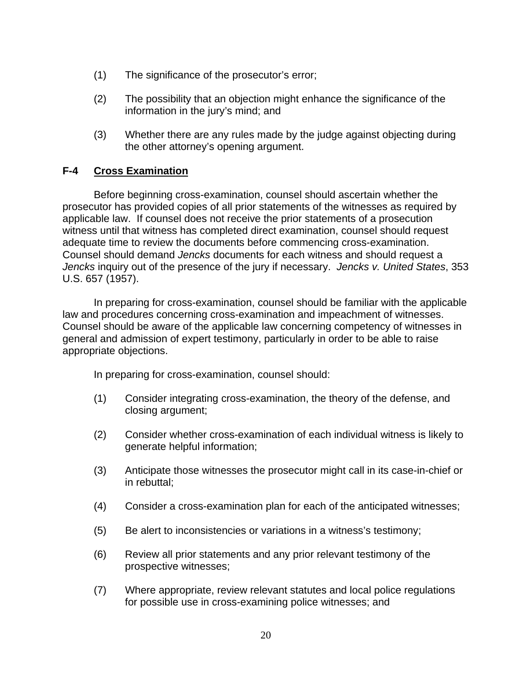- (1) The significance of the prosecutor's error;
- (2) The possibility that an objection might enhance the significance of the information in the jury's mind; and
- (3) Whether there are any rules made by the judge against objecting during the other attorney's opening argument.

## **F-4 Cross Examination**

Before beginning cross-examination, counsel should ascertain whether the prosecutor has provided copies of all prior statements of the witnesses as required by applicable law. If counsel does not receive the prior statements of a prosecution witness until that witness has completed direct examination, counsel should request adequate time to review the documents before commencing cross-examination. Counsel should demand *Jencks* documents for each witness and should request a *Jencks* inquiry out of the presence of the jury if necessary. *Jencks v. United States*, 353 U.S. 657 (1957).

In preparing for cross-examination, counsel should be familiar with the applicable law and procedures concerning cross-examination and impeachment of witnesses. Counsel should be aware of the applicable law concerning competency of witnesses in general and admission of expert testimony, particularly in order to be able to raise appropriate objections.

In preparing for cross-examination, counsel should:

- (1) Consider integrating cross-examination, the theory of the defense, and closing argument;
- (2) Consider whether cross-examination of each individual witness is likely to generate helpful information;
- (3) Anticipate those witnesses the prosecutor might call in its case-in-chief or in rebuttal;
- (4) Consider a cross-examination plan for each of the anticipated witnesses;
- (5) Be alert to inconsistencies or variations in a witness's testimony;
- (6) Review all prior statements and any prior relevant testimony of the prospective witnesses;
- (7) Where appropriate, review relevant statutes and local police regulations for possible use in cross-examining police witnesses; and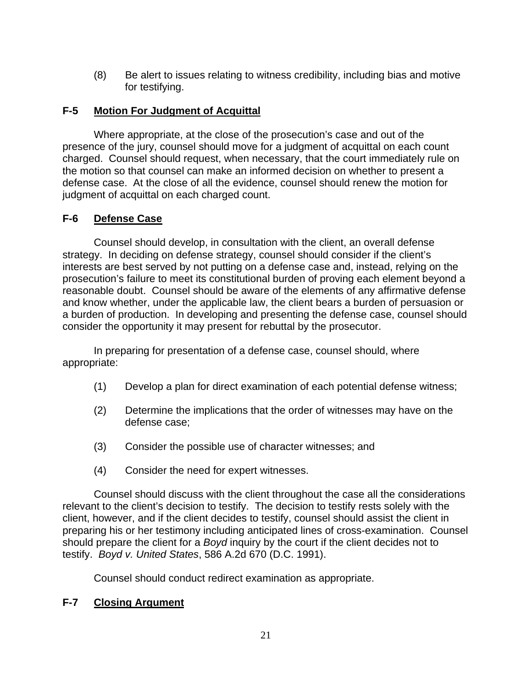(8) Be alert to issues relating to witness credibility, including bias and motive for testifying.

## **F-5 Motion For Judgment of Acquittal**

Where appropriate, at the close of the prosecution's case and out of the presence of the jury, counsel should move for a judgment of acquittal on each count charged. Counsel should request, when necessary, that the court immediately rule on the motion so that counsel can make an informed decision on whether to present a defense case. At the close of all the evidence, counsel should renew the motion for judgment of acquittal on each charged count.

## **F-6 Defense Case**

Counsel should develop, in consultation with the client, an overall defense strategy. In deciding on defense strategy, counsel should consider if the client's interests are best served by not putting on a defense case and, instead, relying on the prosecution's failure to meet its constitutional burden of proving each element beyond a reasonable doubt. Counsel should be aware of the elements of any affirmative defense and know whether, under the applicable law, the client bears a burden of persuasion or a burden of production. In developing and presenting the defense case, counsel should consider the opportunity it may present for rebuttal by the prosecutor.

In preparing for presentation of a defense case, counsel should, where appropriate:

- (1) Develop a plan for direct examination of each potential defense witness;
- (2) Determine the implications that the order of witnesses may have on the defense case;
- (3) Consider the possible use of character witnesses; and
- (4) Consider the need for expert witnesses.

Counsel should discuss with the client throughout the case all the considerations relevant to the client's decision to testify. The decision to testify rests solely with the client, however, and if the client decides to testify, counsel should assist the client in preparing his or her testimony including anticipated lines of cross-examination. Counsel should prepare the client for a *Boyd* inquiry by the court if the client decides not to testify. *Boyd v. United States*, 586 A.2d 670 (D.C. 1991).

Counsel should conduct redirect examination as appropriate.

### **F-7 Closing Argument**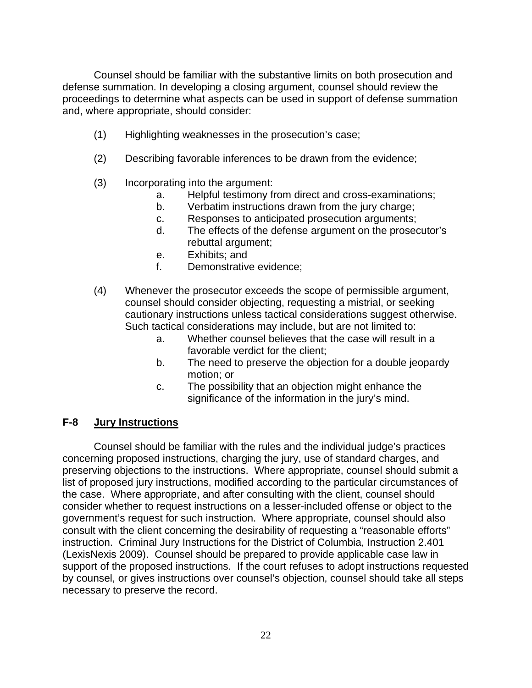Counsel should be familiar with the substantive limits on both prosecution and defense summation. In developing a closing argument, counsel should review the proceedings to determine what aspects can be used in support of defense summation and, where appropriate, should consider:

- (1) Highlighting weaknesses in the prosecution's case;
- (2) Describing favorable inferences to be drawn from the evidence;
- (3) Incorporating into the argument:
	- a. Helpful testimony from direct and cross-examinations;
	- b. Verbatim instructions drawn from the jury charge;
	- c. Responses to anticipated prosecution arguments;
	- d. The effects of the defense argument on the prosecutor's rebuttal argument;
	- e. Exhibits; and
	- f. Demonstrative evidence;
- (4) Whenever the prosecutor exceeds the scope of permissible argument, counsel should consider objecting, requesting a mistrial, or seeking cautionary instructions unless tactical considerations suggest otherwise. Such tactical considerations may include, but are not limited to:
	- a. Whether counsel believes that the case will result in a favorable verdict for the client;
	- b. The need to preserve the objection for a double jeopardy motion; or
	- c. The possibility that an objection might enhance the significance of the information in the jury's mind.

## **F-8 Jury Instructions**

Counsel should be familiar with the rules and the individual judge's practices concerning proposed instructions, charging the jury, use of standard charges, and preserving objections to the instructions. Where appropriate, counsel should submit a list of proposed jury instructions, modified according to the particular circumstances of the case. Where appropriate, and after consulting with the client, counsel should consider whether to request instructions on a lesser-included offense or object to the government's request for such instruction. Where appropriate, counsel should also consult with the client concerning the desirability of requesting a "reasonable efforts" instruction. Criminal Jury Instructions for the District of Columbia, Instruction 2.401 (LexisNexis 2009). Counsel should be prepared to provide applicable case law in support of the proposed instructions. If the court refuses to adopt instructions requested by counsel, or gives instructions over counsel's objection, counsel should take all steps necessary to preserve the record.